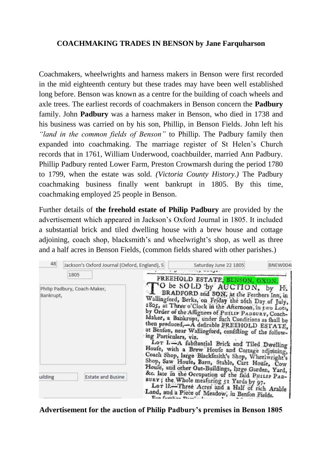## **COACHMAKING TRADES IN BENSON by Jane Farquharson**

Coachmakers, wheelwrights and harness makers in Benson were first recorded in the mid eighteenth century but these trades may have been well established long before. Benson was known as a centre for the building of coach wheels and axle trees. The earliest records of coachmakers in Benson concern the **Padbury** family. John **Padbury** was a harness maker in Benson, who died in 1738 and his business was carried on by his son, Phillip, in Benson Fields. John left his *"land in the common fields of Benson"* to Phillip. The Padbury family then expanded into coachmaking. The marriage register of St Helen's Church records that in 1761, William Underwood, coachbuilder, married Ann Padbury. Phillip Padbury rented Lower Farm, Preston Crowmarsh during the period 1780 to 1799, when the estate was sold. *(Victoria County History.)* The Padbury coachmaking business finally went bankrupt in 1805. By this time, coachmaking employed 25 people in Benson.

Further details of **the freehold estate of Philip Padbury** are provided by the advertisement which appeared in Jackson's Oxford Journal in 1805. It included a substantial brick and tiled dwelling house with a brew house and cottage adjoining, coach shop, blacksmith's and wheelwright's shop, as well as three and a half acres in Benson Fields, (common fields shared with other parishes.)

| 48                                        | Jackson's Oxford Journal (Oxford, England), S |                                                                                                                                                                                                                                                                                                                                                                                                                                                                                                                                                                                                                                                                                                           | Saturday June 22 1805                                                                                                                                                                              | BNFW004 |
|-------------------------------------------|-----------------------------------------------|-----------------------------------------------------------------------------------------------------------------------------------------------------------------------------------------------------------------------------------------------------------------------------------------------------------------------------------------------------------------------------------------------------------------------------------------------------------------------------------------------------------------------------------------------------------------------------------------------------------------------------------------------------------------------------------------------------------|----------------------------------------------------------------------------------------------------------------------------------------------------------------------------------------------------|---------|
|                                           | 1805                                          |                                                                                                                                                                                                                                                                                                                                                                                                                                                                                                                                                                                                                                                                                                           | FREEHOLD ESTATE, BENSON, OXON.                                                                                                                                                                     |         |
| Philip Padbury, Coach-Maker,<br>Bankrupt, |                                               | O be SOLD by AUCTION, by<br>BRADFORD and SON, at the Feathers Inn, in<br>Wallingford, Berks, on Friday the 26th Day of July,<br>1805, at Three o'Clock in the Afternoon, in two Lots,<br>by Order of the Affignees of Purtur PADBURY, Coach-<br>Maker, a Bankrupt, under fuch Conditions as fhall be<br>then produced,-A defirable FREEHOLD ESTATE.<br>at Benfon, near Wallingford, confifting of the follow-<br>ing Particulars, viz.<br>Lor I. A fubftantial Brick and Tiled Dwelling<br>Houfe, with a Brew Houfe and Cortage adjoining,<br>Coach Shop, large BlackImith's Shop, Wheelwright's<br>Shop, Saw Houfe, Barn, Stable, Cart Houfe, Cow<br>Houle, and other Out-Buildings, large Garden, Yard, |                                                                                                                                                                                                    | Η.      |
| uilding                                   | <b>Estate and Busine</b>                      | $\Gamma_{\alpha\alpha}$ for $\Gamma_{\alpha\alpha}$ $\Gamma_{\alpha\beta}$                                                                                                                                                                                                                                                                                                                                                                                                                                                                                                                                                                                                                                | &c. late in the Occupation of the faid PHILIP PAD-<br>BURY; the Whole meafuring 51 Yards by 97.<br>Lor II.-Three Acres and a Half of rich Arable<br>Land, and a Piece of Meadow, in Benfon Fields. |         |

**Advertisement for the auction of Philip Padbury's premises in Benson 1805**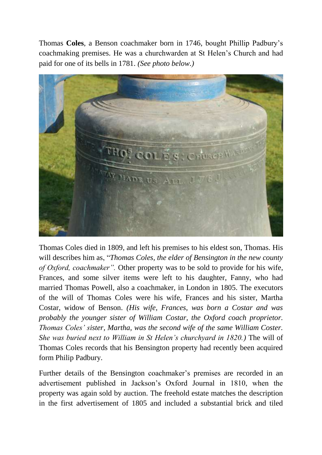Thomas **Coles**, a Benson coachmaker born in 1746, bought Phillip Padbury's coachmaking premises. He was a churchwarden at St Helen's Church and had paid for one of its bells in 1781. *(See photo below.)*



Thomas Coles died in 1809, and left his premises to his eldest son, Thomas. His will describes him as, "*Thomas Coles, the elder of Bensington in the new county of Oxford, coachmaker".* Other property was to be sold to provide for his wife, Frances, and some silver items were left to his daughter, Fanny, who had married Thomas Powell, also a coachmaker, in London in 1805. The executors of the will of Thomas Coles were his wife, Frances and his sister, Martha Costar, widow of Benson. *(His wife, Frances, was born a Costar and was probably the younger sister of William Costar, the Oxford coach proprietor. Thomas Coles' sister, Martha, was the second wife of the same William Coster. She was buried next to William in St Helen's churchyard in 1820.)* The will of Thomas Coles records that his Bensington property had recently been acquired form Philip Padbury.

Further details of the Bensington coachmaker's premises are recorded in an advertisement published in Jackson's Oxford Journal in 1810, when the property was again sold by auction. The freehold estate matches the description in the first advertisement of 1805 and included a substantial brick and tiled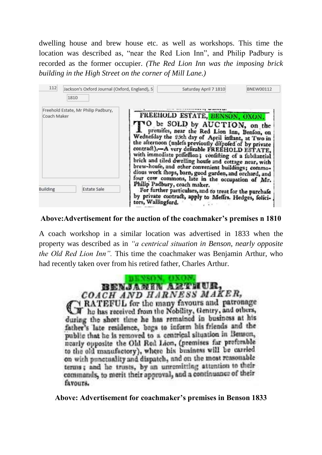dwelling house and brew house etc. as well as workshops. This time the location was described as, "near the Red Lion Inn", and Philip Padbury is recorded as the former occupier. *(The Red Lion Inn was the imposing brick building in the High Street on the corner of Mill Lane.)*

| 112                                                | Jackson's Oxford Journal (Oxford, England), S<br>1810 |                    | Saturday April 7 1810                                                                                                                                                                                                                                                                                                                                                                                                                                                                                                                                                | <b>BNEW00112</b> |
|----------------------------------------------------|-------------------------------------------------------|--------------------|----------------------------------------------------------------------------------------------------------------------------------------------------------------------------------------------------------------------------------------------------------------------------------------------------------------------------------------------------------------------------------------------------------------------------------------------------------------------------------------------------------------------------------------------------------------------|------------------|
| Freehold Estate, Mr Philip Padbury,<br>Coach Maker |                                                       |                    | FREEHOLD ESTATE, BENSON, OXON.<br>*O be SOLD by AUCTION, on the<br>premifes, near the Red Lion Inn, Benfon, on<br>Wednefday the 25th day of April inftant, at Two in<br>the afternoon (unlefs previously difpofed of by private<br>contract),-A very defirable FREEHOLD ESTATE,<br>with immediate poffeffion; confitting of a fubitantial<br>brick and tiled dwelling houfe and cottage near, with<br>brew-houfe, and other convenient buildings; commo-<br>dious work fhops, barn, good garden, and orchard, and<br>four cow commons, late in the occupation of Mr. |                  |
| <b>Building</b>                                    | <b>Estate Sale</b>                                    | tors, Wallingford. | Philip Padbury, coach maker.<br>For further particulars, and to treat for the purchafe<br>by private contract, apply to Meffrs. Hedges, folici-                                                                                                                                                                                                                                                                                                                                                                                                                      |                  |

## **Above:Advertisement for the auction of the coachmaker's premises n 1810**

A coach workshop in a similar location was advertised in 1833 when the property was described as in *"a centrical situation in Benson, nearly opposite the Old Red Lion Inn".* This time the coachmaker was Benjamin Arthur, who had recently taken over from his retired father, Charles Arthur.

> BENSON, OKON BENJAMIN AZUTIUR, COACH AND HARNESS MAKER, RATEFUL for the many favours and patronage The has received from the Nobility, Gentry, and others, during the short time he has remained in business at his father's late residence, bogs to inform his friends and the public that he is removed to a centrical situation in Benson, nearly opposite the Old Red Lion, (premises far preferable to the old manufactory), where his business will be carried on with punctuality and dispatch, and on the most reasonable terms; and he trusts, by an unremitting attention to their commands, to merit their approval, and a continuance of their favours.

**Above: Advertisement for coachmaker's premises in Benson 1833**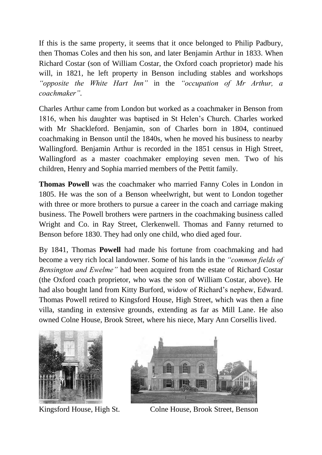If this is the same property, it seems that it once belonged to Philip Padbury, then Thomas Coles and then his son, and later Benjamin Arthur in 1833. When Richard Costar (son of William Costar, the Oxford coach proprietor) made his will, in 1821, he left property in Benson including stables and workshops *"opposite the White Hart Inn"* in the *"occupation of Mr Arthur, a coachmaker".* 

Charles Arthur came from London but worked as a coachmaker in Benson from 1816, when his daughter was baptised in St Helen's Church. Charles worked with Mr Shackleford. Benjamin, son of Charles born in 1804, continued coachmaking in Benson until the 1840s, when he moved his business to nearby Wallingford. Benjamin Arthur is recorded in the 1851 census in High Street, Wallingford as a master coachmaker employing seven men. Two of his children, Henry and Sophia married members of the Pettit family.

**Thomas Powell** was the coachmaker who married Fanny Coles in London in 1805. He was the son of a Benson wheelwright, but went to London together with three or more brothers to pursue a career in the coach and carriage making business. The Powell brothers were partners in the coachmaking business called Wright and Co. in Ray Street, Clerkenwell. Thomas and Fanny returned to Benson before 1830. They had only one child, who died aged four.

By 1841, Thomas **Powell** had made his fortune from coachmaking and had become a very rich local landowner. Some of his lands in the *"common fields of Bensington and Ewelme"* had been acquired from the estate of Richard Costar (the Oxford coach proprietor, who was the son of William Costar, above). He had also bought land from Kitty Burford, widow of Richard's nephew, Edward. Thomas Powell retired to Kingsford House, High Street, which was then a fine villa, standing in extensive grounds, extending as far as Mill Lane. He also owned Colne House, Brook Street, where his niece, Mary Ann Corsellis lived.





Kingsford House, High St. Colne House, Brook Street, Benson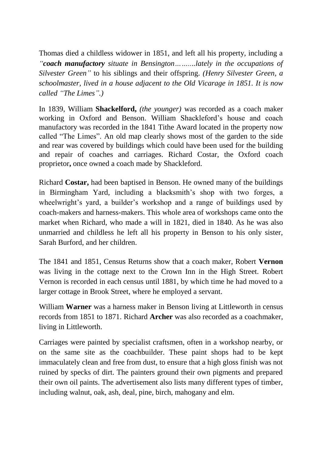Thomas died a childless widower in 1851, and left all his property, including a *"coach manufactory situate in Bensington……....lately in the occupations of Silvester Green"* to his siblings and their offspring. *(Henry Silvester Green, a schoolmaster, lived in a house adjacent to the Old Vicarage in 1851. It is now called "The Limes".)*

In 1839, William **Shackelford,** *(the younger)* was recorded as a coach maker working in Oxford and Benson. William Shackleford's house and coach manufactory was recorded in the 1841 Tithe Award located in the property now called "The Limes". An old map clearly shows most of the garden to the side and rear was covered by buildings which could have been used for the building and repair of coaches and carriages. Richard Costar, the Oxford coach proprietor**,** once owned a coach made by Shackleford.

Richard **Costar,** had been baptised in Benson. He owned many of the buildings in Birmingham Yard, including a blacksmith's shop with two forges, a wheelwright's yard, a builder's workshop and a range of buildings used by coach-makers and harness-makers. This whole area of workshops came onto the market when Richard, who made a will in 1821, died in 1840. As he was also unmarried and childless he left all his property in Benson to his only sister, Sarah Burford, and her children.

The 1841 and 1851, Census Returns show that a coach maker, Robert **Vernon** was living in the cottage next to the Crown Inn in the High Street. Robert Vernon is recorded in each census until 1881, by which time he had moved to a larger cottage in Brook Street, where he employed a servant.

William **Warner** was a harness maker in Benson living at Littleworth in census records from 1851 to 1871. Richard **Archer** was also recorded as a coachmaker, living in Littleworth.

Carriages were painted by specialist craftsmen, often in a workshop nearby, or on the same site as the coachbuilder. These paint shops had to be kept immaculately clean and free from dust, to ensure that a high gloss finish was not ruined by specks of dirt. The painters ground their own pigments and prepared their own oil paints. The advertisement also lists many different types of timber, including walnut, oak, ash, deal, pine, birch, mahogany and elm.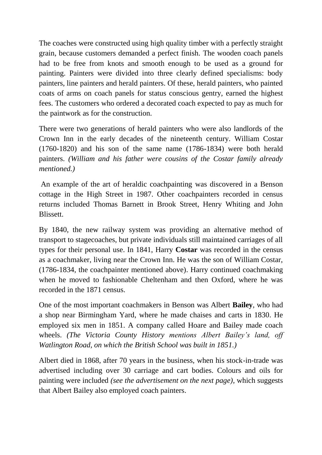The coaches were constructed using high quality timber with a perfectly straight grain, because customers demanded a perfect finish. The wooden coach panels had to be free from knots and smooth enough to be used as a ground for painting. Painters were divided into three clearly defined specialisms: body painters, line painters and herald painters. Of these, herald painters, who painted coats of arms on coach panels for status conscious gentry, earned the highest fees. The customers who ordered a decorated coach expected to pay as much for the paintwork as for the construction.

There were two generations of herald painters who were also landlords of the Crown Inn in the early decades of the nineteenth century. William Costar (1760-1820) and his son of the same name (1786-1834) were both herald painters. *(William and his father were cousins of the Costar family already mentioned.)*

An example of the art of heraldic coachpainting was discovered in a Benson cottage in the High Street in 1987. Other coachpainters recorded in census returns included Thomas Barnett in Brook Street, Henry Whiting and John Blissett.

By 1840, the new railway system was providing an alternative method of transport to stagecoaches, but private individuals still maintained carriages of all types for their personal use. In 1841, Harry **Costar** was recorded in the census as a coachmaker, living near the Crown Inn. He was the son of William Costar, (1786-1834, the coachpainter mentioned above). Harry continued coachmaking when he moved to fashionable Cheltenham and then Oxford, where he was recorded in the 1871 census.

One of the most important coachmakers in Benson was Albert **Bailey**, who had a shop near Birmingham Yard, where he made chaises and carts in 1830. He employed six men in 1851. A company called Hoare and Bailey made coach wheels. *(The Victoria County History mentions Albert Bailey's land, off Watlington Road, on which the British School was built in 1851.)*

Albert died in 1868, after 70 years in the business, when his stock-in-trade was advertised including over 30 carriage and cart bodies. Colours and oils for painting were included *(see the advertisement on the next page),* which suggests that Albert Bailey also employed coach painters.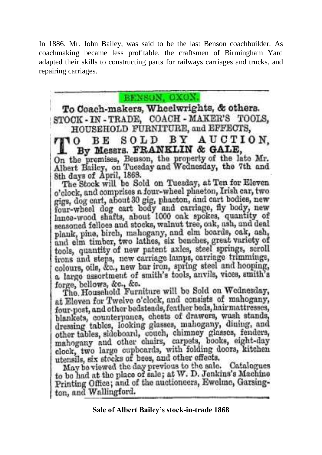In 1886, Mr. John Bailey, was said to be the last Benson coachbuilder. As coachmaking became less profitable, the craftsmen of Birmingham Yard adapted their skills to constructing parts for railways carriages and trucks, and repairing carriages.



to be had at the place of sale; at W. D. Jenkins's Machine Printing Office; and of the auctioneers, Ewelme, Garsington, and Wallingford.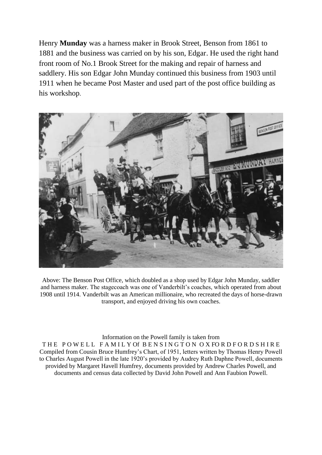Henry **Munday** was a harness maker in Brook Street, Benson from 1861 to 1881 and the business was carried on by his son, Edgar. He used the right hand front room of No.1 Brook Street for the making and repair of harness and saddlery. His son Edgar John Munday continued this business from 1903 until 1911 when he became Post Master and used part of the post office building as his workshop.



Above: The Benson Post Office, which doubled as a shop used by Edgar John Munday, saddler and harness maker. The stagecoach was one of Vanderbilt's coaches, which operated from about 1908 until 1914. Vanderbilt was an American millionaire, who recreated the days of horse-drawn transport, and enjoyed driving his own coaches.

Information on the Powell family is taken from THE POWELL FAMILY Of BENSINGTON OXFORDFORDSHIRE Compiled from Cousin Bruce Humfrey's Chart, of 1951, letters written by Thomas Henry Powell to Charles August Powell in the late 1920's provided by Audrey Ruth Daphne Powell, documents provided by Margaret Havell Humfrey, documents provided by Andrew Charles Powell, and documents and census data collected by David John Powell and Ann Faubion Powell.